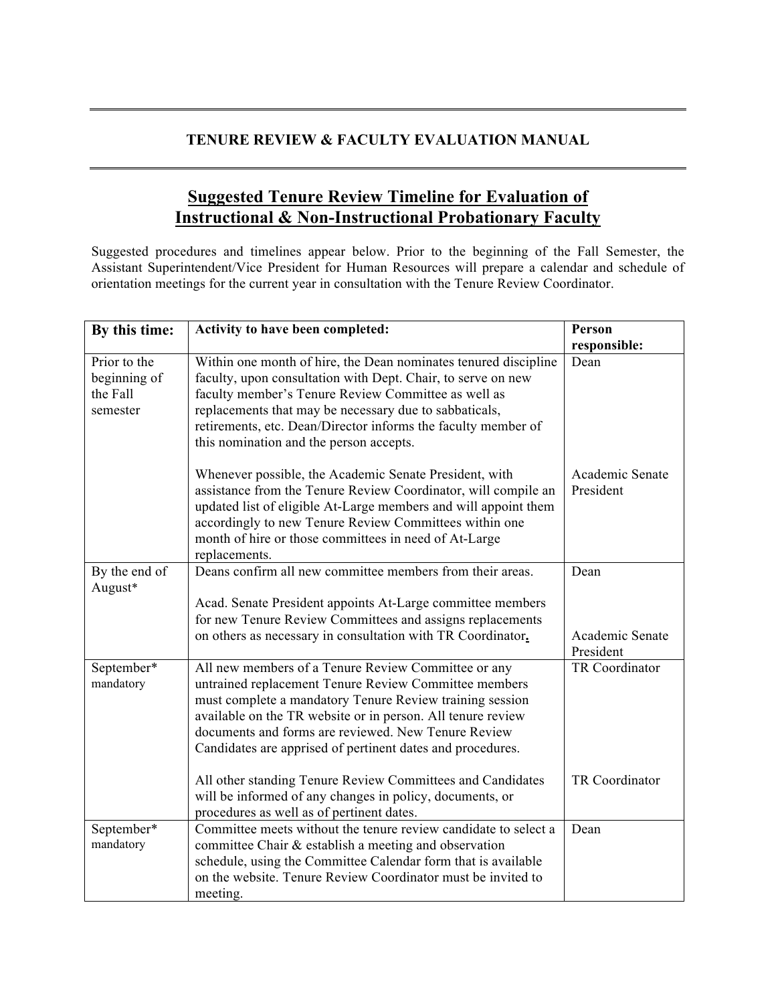## **TENURE REVIEW & FACULTY EVALUATION MANUAL**

## **Suggested Tenure Review Timeline for Evaluation of Instructional & Non-Instructional Probationary Faculty**

Suggested procedures and timelines appear below. Prior to the beginning of the Fall Semester, the Assistant Superintendent/Vice President for Human Resources will prepare a calendar and schedule of orientation meetings for the current year in consultation with the Tenure Review Coordinator.

| By this time:                                        | Activity to have been completed:                                                                                                                                                                                                                                                                                                                             | Person                       |
|------------------------------------------------------|--------------------------------------------------------------------------------------------------------------------------------------------------------------------------------------------------------------------------------------------------------------------------------------------------------------------------------------------------------------|------------------------------|
|                                                      |                                                                                                                                                                                                                                                                                                                                                              | responsible:                 |
| Prior to the<br>beginning of<br>the Fall<br>semester | Within one month of hire, the Dean nominates tenured discipline<br>faculty, upon consultation with Dept. Chair, to serve on new<br>faculty member's Tenure Review Committee as well as<br>replacements that may be necessary due to sabbaticals,<br>retirements, etc. Dean/Director informs the faculty member of<br>this nomination and the person accepts. | Dean                         |
|                                                      | Whenever possible, the Academic Senate President, with<br>assistance from the Tenure Review Coordinator, will compile an<br>updated list of eligible At-Large members and will appoint them<br>accordingly to new Tenure Review Committees within one<br>month of hire or those committees in need of At-Large<br>replacements.                              | Academic Senate<br>President |
| By the end of                                        | Deans confirm all new committee members from their areas.                                                                                                                                                                                                                                                                                                    | Dean                         |
| August*                                              |                                                                                                                                                                                                                                                                                                                                                              |                              |
|                                                      | Acad. Senate President appoints At-Large committee members<br>for new Tenure Review Committees and assigns replacements                                                                                                                                                                                                                                      |                              |
|                                                      | on others as necessary in consultation with TR Coordinator.                                                                                                                                                                                                                                                                                                  | Academic Senate<br>President |
| September*<br>mandatory                              | All new members of a Tenure Review Committee or any<br>untrained replacement Tenure Review Committee members<br>must complete a mandatory Tenure Review training session<br>available on the TR website or in person. All tenure review<br>documents and forms are reviewed. New Tenure Review<br>Candidates are apprised of pertinent dates and procedures. | TR Coordinator               |
|                                                      | All other standing Tenure Review Committees and Candidates<br>will be informed of any changes in policy, documents, or<br>procedures as well as of pertinent dates.                                                                                                                                                                                          | TR Coordinator               |
| September*<br>mandatory                              | Committee meets without the tenure review candidate to select a<br>committee Chair & establish a meeting and observation<br>schedule, using the Committee Calendar form that is available<br>on the website. Tenure Review Coordinator must be invited to<br>meeting.                                                                                        | Dean                         |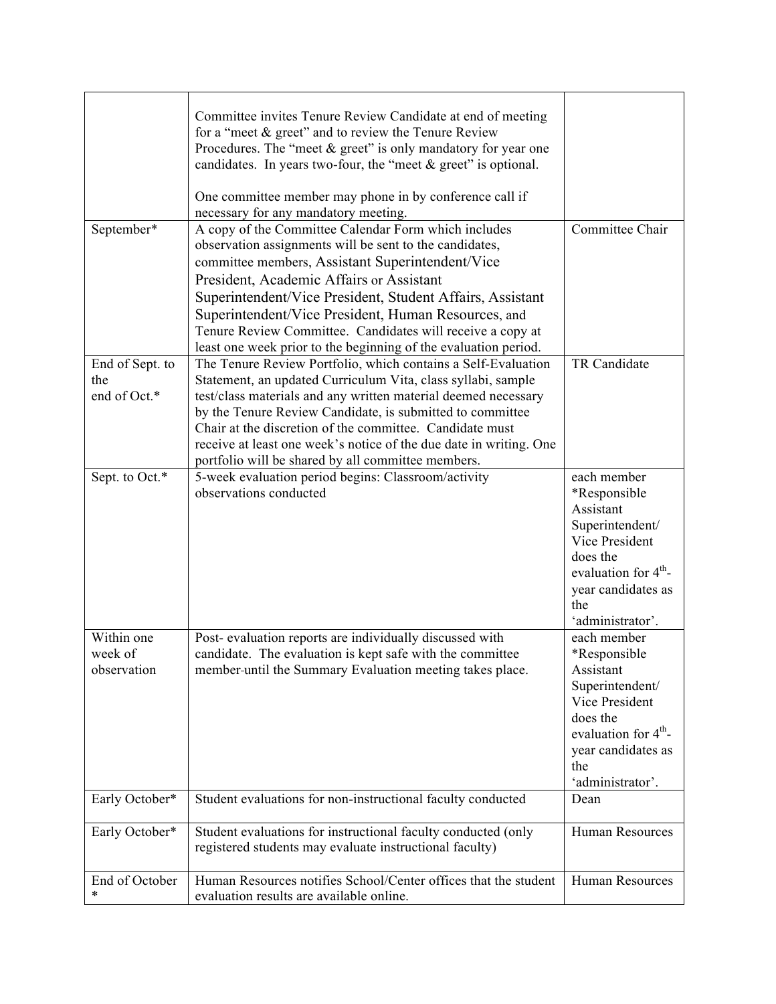| September*                             | Committee invites Tenure Review Candidate at end of meeting<br>for a "meet $&$ greet" and to review the Tenure Review<br>Procedures. The "meet & greet" is only mandatory for year one<br>candidates. In years two-four, the "meet $&$ greet" is optional.<br>One committee member may phone in by conference call if<br>necessary for any mandatory meeting.<br>A copy of the Committee Calendar Form which includes<br>observation assignments will be sent to the candidates,<br>committee members, Assistant Superintendent/Vice<br>President, Academic Affairs or Assistant<br>Superintendent/Vice President, Student Affairs, Assistant<br>Superintendent/Vice President, Human Resources, and<br>Tenure Review Committee. Candidates will receive a copy at<br>least one week prior to the beginning of the evaluation period. | Committee Chair                                                                                                                                                                        |
|----------------------------------------|---------------------------------------------------------------------------------------------------------------------------------------------------------------------------------------------------------------------------------------------------------------------------------------------------------------------------------------------------------------------------------------------------------------------------------------------------------------------------------------------------------------------------------------------------------------------------------------------------------------------------------------------------------------------------------------------------------------------------------------------------------------------------------------------------------------------------------------|----------------------------------------------------------------------------------------------------------------------------------------------------------------------------------------|
| End of Sept. to<br>the<br>end of Oct.* | The Tenure Review Portfolio, which contains a Self-Evaluation<br>Statement, an updated Curriculum Vita, class syllabi, sample<br>test/class materials and any written material deemed necessary<br>by the Tenure Review Candidate, is submitted to committee<br>Chair at the discretion of the committee. Candidate must<br>receive at least one week's notice of the due date in writing. One<br>portfolio will be shared by all committee members.                                                                                                                                                                                                                                                                                                                                                                                  | TR Candidate                                                                                                                                                                           |
| Sept. to Oct.*                         | 5-week evaluation period begins: Classroom/activity<br>observations conducted                                                                                                                                                                                                                                                                                                                                                                                                                                                                                                                                                                                                                                                                                                                                                         | each member<br>*Responsible<br>Assistant<br>Superintendent/<br>Vice President<br>does the<br>evaluation for 4 <sup>th</sup> -<br>year candidates as<br>the<br>'administrator'.         |
| Within one<br>week of<br>observation   | Post- evaluation reports are individually discussed with<br>candidate. The evaluation is kept safe with the committee<br>member until the Summary Evaluation meeting takes place.                                                                                                                                                                                                                                                                                                                                                                                                                                                                                                                                                                                                                                                     | each member<br><i>*</i> Responsible<br>Assistant<br>Superintendent/<br>Vice President<br>does the<br>evaluation for 4 <sup>th</sup> -<br>year candidates as<br>the<br>'administrator'. |
| Early October*                         | Student evaluations for non-instructional faculty conducted                                                                                                                                                                                                                                                                                                                                                                                                                                                                                                                                                                                                                                                                                                                                                                           | Dean                                                                                                                                                                                   |
| Early October*                         | Student evaluations for instructional faculty conducted (only<br>registered students may evaluate instructional faculty)                                                                                                                                                                                                                                                                                                                                                                                                                                                                                                                                                                                                                                                                                                              | Human Resources                                                                                                                                                                        |
| End of October<br>∗                    | Human Resources notifies School/Center offices that the student<br>evaluation results are available online.                                                                                                                                                                                                                                                                                                                                                                                                                                                                                                                                                                                                                                                                                                                           | Human Resources                                                                                                                                                                        |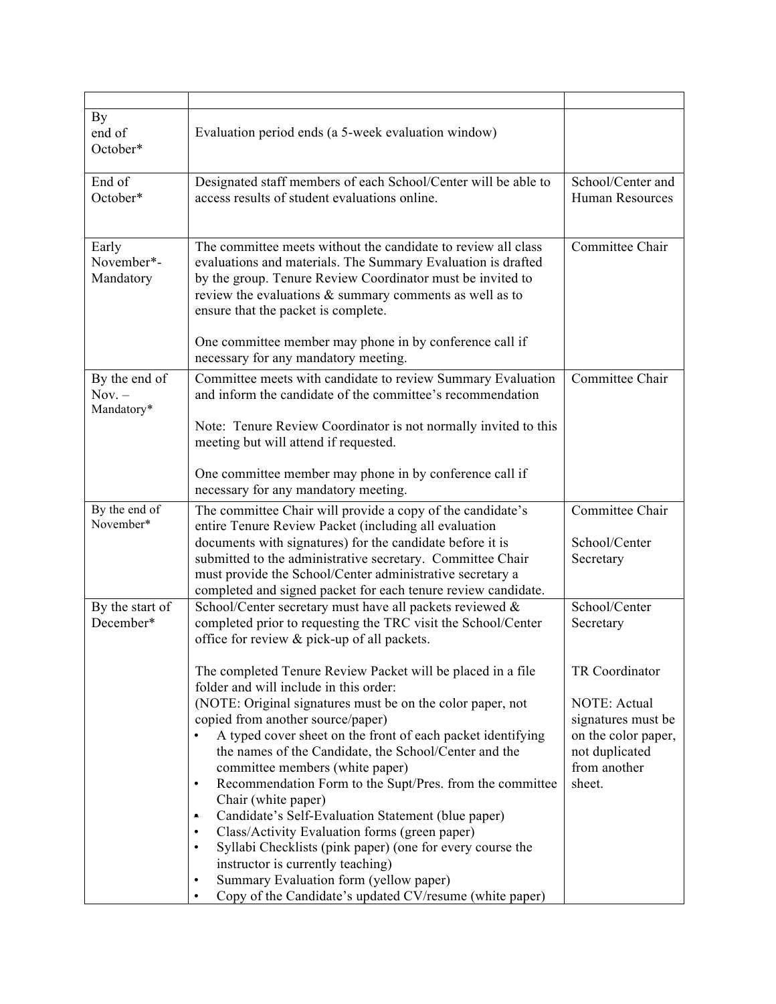| By<br>end of<br>October*                | Evaluation period ends (a 5-week evaluation window)                                                                                                                                                                                                                                                                                                                                                                                                                                                                                                                                                                                                                                                                                                                                                      |                                                                                                                         |
|-----------------------------------------|----------------------------------------------------------------------------------------------------------------------------------------------------------------------------------------------------------------------------------------------------------------------------------------------------------------------------------------------------------------------------------------------------------------------------------------------------------------------------------------------------------------------------------------------------------------------------------------------------------------------------------------------------------------------------------------------------------------------------------------------------------------------------------------------------------|-------------------------------------------------------------------------------------------------------------------------|
| End of<br>October*                      | Designated staff members of each School/Center will be able to<br>access results of student evaluations online.                                                                                                                                                                                                                                                                                                                                                                                                                                                                                                                                                                                                                                                                                          | School/Center and<br><b>Human Resources</b>                                                                             |
| Early<br>November*-<br>Mandatory        | The committee meets without the candidate to review all class<br>evaluations and materials. The Summary Evaluation is drafted<br>by the group. Tenure Review Coordinator must be invited to<br>review the evaluations $\&$ summary comments as well as to<br>ensure that the packet is complete.                                                                                                                                                                                                                                                                                                                                                                                                                                                                                                         | Committee Chair                                                                                                         |
|                                         | One committee member may phone in by conference call if<br>necessary for any mandatory meeting.                                                                                                                                                                                                                                                                                                                                                                                                                                                                                                                                                                                                                                                                                                          |                                                                                                                         |
| By the end of<br>$Nov. -$<br>Mandatory* | Committee meets with candidate to review Summary Evaluation<br>and inform the candidate of the committee's recommendation                                                                                                                                                                                                                                                                                                                                                                                                                                                                                                                                                                                                                                                                                | Committee Chair                                                                                                         |
|                                         | Note: Tenure Review Coordinator is not normally invited to this<br>meeting but will attend if requested.                                                                                                                                                                                                                                                                                                                                                                                                                                                                                                                                                                                                                                                                                                 |                                                                                                                         |
|                                         | One committee member may phone in by conference call if<br>necessary for any mandatory meeting.                                                                                                                                                                                                                                                                                                                                                                                                                                                                                                                                                                                                                                                                                                          |                                                                                                                         |
| By the end of<br>November*              | The committee Chair will provide a copy of the candidate's<br>entire Tenure Review Packet (including all evaluation<br>documents with signatures) for the candidate before it is<br>submitted to the administrative secretary. Committee Chair<br>must provide the School/Center administrative secretary a<br>completed and signed packet for each tenure review candidate.                                                                                                                                                                                                                                                                                                                                                                                                                             | Committee Chair<br>School/Center<br>Secretary                                                                           |
| By the start of<br>December*            | School/Center secretary must have all packets reviewed &<br>completed prior to requesting the TRC visit the School/Center<br>office for review & pick-up of all packets.                                                                                                                                                                                                                                                                                                                                                                                                                                                                                                                                                                                                                                 | School/Center<br>Secretary                                                                                              |
|                                         | The completed Tenure Review Packet will be placed in a file<br>folder and will include in this order:<br>(NOTE: Original signatures must be on the color paper, not<br>copied from another source/paper)<br>A typed cover sheet on the front of each packet identifying<br>the names of the Candidate, the School/Center and the<br>committee members (white paper)<br>Recommendation Form to the Supt/Pres. from the committee<br>٠<br>Chair (white paper)<br>Candidate's Self-Evaluation Statement (blue paper)<br>$\bullet$<br>Class/Activity Evaluation forms (green paper)<br>٠<br>Syllabi Checklists (pink paper) (one for every course the<br>$\bullet$<br>instructor is currently teaching)<br>Summary Evaluation form (yellow paper)<br>Copy of the Candidate's updated CV/resume (white paper) | TR Coordinator<br>NOTE: Actual<br>signatures must be<br>on the color paper,<br>not duplicated<br>from another<br>sheet. |